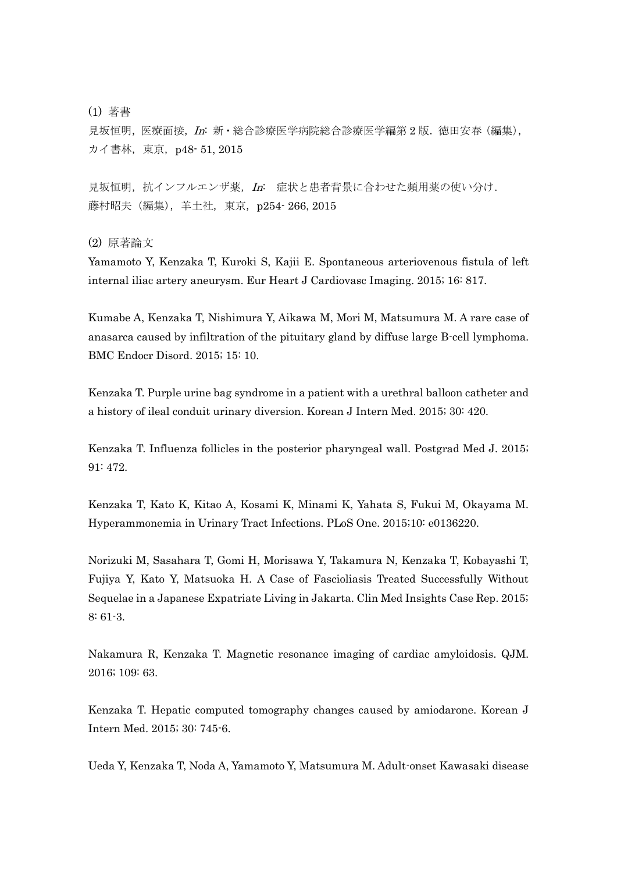(1) 著書

見坂恒明, 医療面接, In: 新·総合診療医学病院総合診療医学編第 2 版. 徳田安春 (編集), カイ書林, 東京, p48· 51, 2015

見坂恒明,抗インフルエンザ薬, In: 症状と患者背景に合わせた頻用薬の使い分け. 藤村昭夫 (編集), 羊土社, 東京, p254–266, 2015

(2) 原著論文

Yamamoto Y, Kenzaka T, Kuroki S, Kajii E. Spontaneous arteriovenous fistula of left internal iliac artery aneurysm. Eur Heart J Cardiovasc Imaging. 2015; 16: 817.

Kumabe A, Kenzaka T, Nishimura Y, Aikawa M, Mori M, Matsumura M. A rare case of anasarca caused by infiltration of the pituitary gland by diffuse large B-cell lymphoma. BMC Endocr Disord. 2015; 15: 10.

Kenzaka T. Purple urine bag syndrome in a patient with a urethral balloon catheter and a history of ileal conduit urinary diversion. Korean J Intern Med. 2015; 30: 420.

Kenzaka T. Influenza follicles in the posterior pharyngeal wall. Postgrad Med J. 2015; 91: 472.

Kenzaka T, Kato K, Kitao A, Kosami K, Minami K, Yahata S, Fukui M, Okayama M. Hyperammonemia in Urinary Tract Infections. PLoS One. 2015;10: e0136220.

Norizuki M, Sasahara T, Gomi H, Morisawa Y, Takamura N, Kenzaka T, Kobayashi T, Fujiya Y, Kato Y, Matsuoka H. A Case of Fascioliasis Treated Successfully Without Sequelae in a Japanese Expatriate Living in Jakarta. Clin Med Insights Case Rep. 2015; 8: 61-3.

Nakamura R, Kenzaka T. Magnetic resonance imaging of cardiac amyloidosis. QJM. 2016; 109: 63.

Kenzaka T. Hepatic computed tomography changes caused by amiodarone. Korean J Intern Med. 2015; 30: 745-6.

Ueda Y, Kenzaka T, Noda A, Yamamoto Y, Matsumura M. Adult-onset Kawasaki disease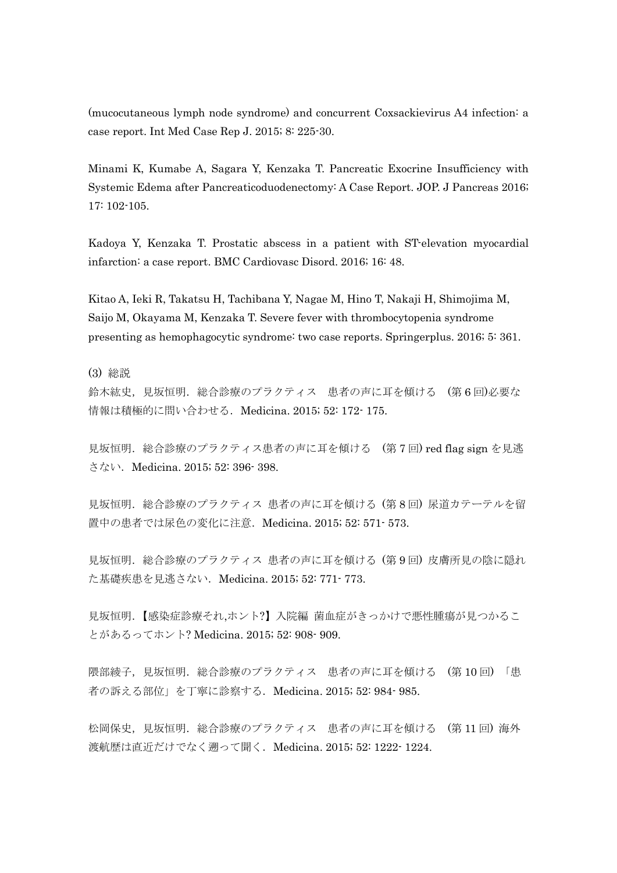(mucocutaneous lymph node syndrome) and concurrent Coxsackievirus A4 infection: a case report. Int Med Case Rep J. 2015; 8: 225-30.

Minami K, Kumabe A, Sagara Y, Kenzaka T. Pancreatic Exocrine Insufficiency with Systemic Edema after Pancreaticoduodenectomy: A Case Report. JOP. J Pancreas 2016; 17: 102-105.

Kadoya Y, Kenzaka T. Prostatic abscess in a patient with ST-elevation myocardial infarction: a case report. BMC Cardiovasc Disord. 2016; 16: 48.

Kitao A, Ieki R, Takatsu H, Tachibana Y, Nagae M, Hino T, Nakaji H, Shimojima M, Saijo M, Okayama M, Kenzaka T. Severe fever with thrombocytopenia syndrome presenting as hemophagocytic syndrome: two case reports. Springerplus. 2016; 5: 361.

(3) 総説

鈴木紘史,見坂恒明.総合診療のプラクティス 患者の声に耳を傾ける (第 6 回)必要な 情報は積極的に問い合わせる. Medicina. 2015; 52: 172- 175.

見坂恒明. 総合診療のプラクティス患者の声に耳を傾ける (第7回) red flag sign を見逃 さない.Medicina. 2015; 52: 396- 398.

見坂恒明.総合診療のプラクティス 患者の声に耳を傾ける (第 8 回) 尿道カテーテルを留 置中の患者では尿色の変化に注意.Medicina. 2015; 52: 571- 573.

見坂恒明. 総合診療のプラクティス 患者の声に耳を傾ける (第9回) 皮膚所見の陰に隠れ た基礎疾患を見逃さない.Medicina. 2015; 52: 771- 773.

見坂恒明.【感染症診療それ,ホント?】入院編 菌血症がきっかけで悪性腫瘍が見つかるこ とがあるってホント? Medicina. 2015; 52: 908- 909.

隈部綾子,見坂恒明.総合診療のプラクティス 患者の声に耳を傾ける (第 10 回) 「患 者の訴える部位」を丁寧に診察する.Medicina. 2015; 52: 984- 985.

松岡保史,見坂恒明.総合診療のプラクティス 患者の声に耳を傾ける (第11回)海外 渡航歴は直近だけでなく遡って聞く. Medicina. 2015; 52: 1222- 1224.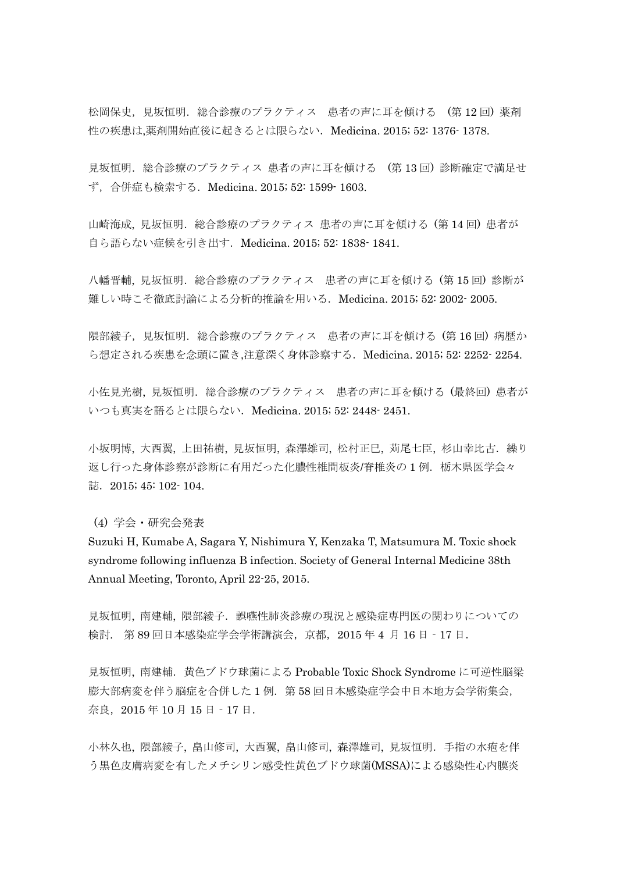松岡保史,見坂恒明.総合診療のプラクティス 患者の声に耳を傾ける (第12回)薬剤 性の疾患は,薬剤開始直後に起きるとは限らない.Medicina. 2015; 52: 1376- 1378.

見坂恒明.総合診療のプラクティス 患者の声に耳を傾ける (第 13 回) 診断確定で満足せ ず,合併症も検索する.Medicina. 2015; 52: 1599- 1603.

山崎海成, 見坂恒明. 総合診療のプラクティス 患者の声に耳を傾ける (第14回) 患者が 自ら語らない症候を引き出す.Medicina. 2015; 52: 1838- 1841.

八幡晋輔, 見坂恒明. 総合診療のプラクティス 患者の声に耳を傾ける (第15回) 診断が 難しい時こそ徹底討論による分析的推論を用いる.Medicina. 2015; 52: 2002- 2005.

限部綾子,見坂恒明.総合診療のプラクティス 患者の声に耳を傾ける (第16回)病歴か ら想定される疾患を念頭に置き,注意深く身体診察する.Medicina. 2015; 52: 2252- 2254.

小佐見光樹, 見坂恒明.総合診療のプラクティス 患者の声に耳を傾ける (最終回) 患者が いつも真実を語るとは限らない.Medicina. 2015; 52: 2448- 2451.

小坂明博,大西翼,上田祐樹,見坂恒明,森澤雄司,松村正巳,苅尾七臣,杉山幸比古. 繰り 返し行った身体診察が診断に有用だった化膿性椎間板炎/脊椎炎の1例.栃木県医学会々 誌. 2015; 45: 102- 104.

(4) 学会・研究会発表

Suzuki H, Kumabe A, Sagara Y, Nishimura Y, Kenzaka T, Matsumura M. Toxic shock syndrome following influenza B infection. Society of General Internal Medicine 38th Annual Meeting, Toronto, April 22-25, 2015.

見坂恒明、南建輔、隈部綾子.誤嚥性肺炎診療の現況と感染症専門医の関わりについての 検討. 第 89 回日本感染症学会学術講演会,京都,2015 年 4 月 16 日‐17 日.

見坂恒明, 南建輔.黄色ブドウ球菌による Probable Toxic Shock Syndrome に可逆性脳梁 膨大部病変を伴う脳症を合併した 1 例.第 58 回日本感染症学会中日本地方会学術集会, 奈良,2015 年 10 月 15 日‐17 日.

小林久也, 隈部綾子, 畠山修司, 大西翼, 畠山修司, 森澤雄司, 見坂恒明.手指の水疱を伴 う黒色皮膚病変を有したメチシリン感受性黄色ブドウ球菌(MSSA)による感染性心内膜炎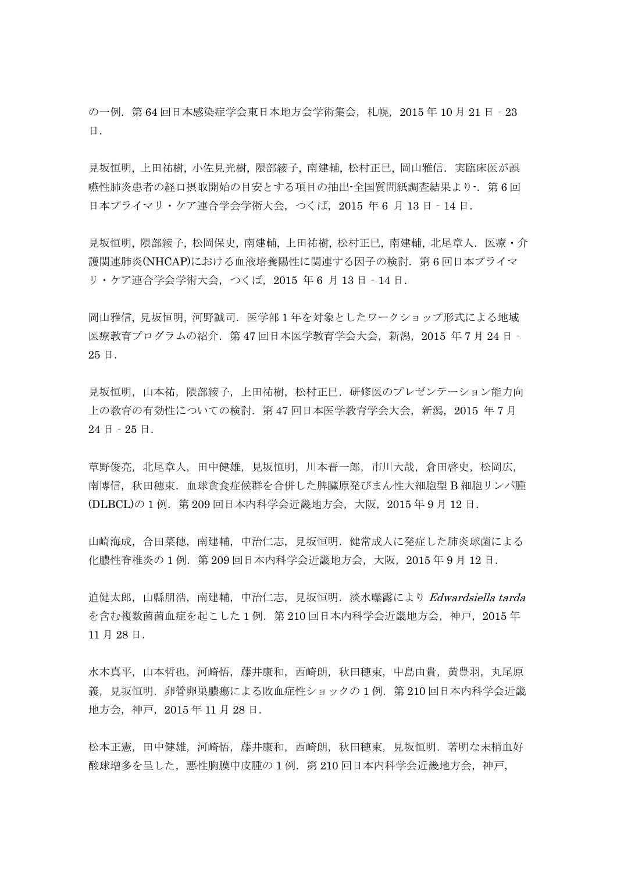の一例. 第 64 回日本感染症学会東日本地方会学術集会,札幌, 2015 年 10 月 21 日 - 23 日.

見坂恒明, 上田祐樹, 小佐見光樹, 隈部綾子, 南建輔, 松村正巳, 岡山雅信. 実臨床医が誤 嘛性肺炎患者の経口摂取開始の目安とする項目の抽出-全国質問紙調査結果より-. 第 6 回 日本プライマリ・ケア連合学会学術大会,つくば, 2015 年6月 13日 - 14日.

見坂恒明, 隈部綾子, 松岡保史, 南建輔, 上田祐樹, 松村正巳, 南建輔, 北尾章人. 医療·介 護関連肺炎(NHCAP)における血液培養陽性に関連する因子の検討.第 6 回日本プライマ リ・ケア連合学会学術大会,つくば,2015 年 6 月 13 日‐14 日.

岡山雅信, 見坂恒明, 河野誠司.医学部 1 年を対象としたワークショップ形式による地域 医療教育プログラムの紹介. 第 47 回日本医学教育学会大会, 新潟, 2015 年 7 月 24 日 -25 日.

見坂恒明,山本祐,隈部綾子,上田祐樹,松村正巳.研修医のプレゼンテーション能力向 上の教育の有効性についての検討.第 47 回日本医学教育学会大会,新潟,2015 年 7 月  $24$  日 -  $25$  日.

草野俊亮,北尾章人,田中健雄,見坂恒明,川本晋一郎,市川大哉,倉田啓史,松岡広, 南博信,秋田穂束.血球貪食症候群を合併した脾臓原発びまん性大細胞型 B 細胞リンパ腫 (DLBCL)の 1 例. 第 209 回日本内科学会近畿地方会, 大阪, 2015 年 9 月 12 日.

山崎海成,合田菜穂,南建輔,中治仁志,見坂恒明.健常成人に発症した肺炎球菌による 化膿性脊椎炎の 1 例.第 209 回日本内科学会近畿地方会,大阪,2015 年 9 月 12 日.

迫健太郎,山縣朋浩,南建輔,中治仁志,見坂恒明. 淡水曝露により Edwardsiella tarda を含む複数菌菌血症を起こした 1 例.第 210 回日本内科学会近畿地方会,神戸,2015 年 11 月 28 日.

水木真平,山本哲也,河崎悟,藤井康和,西崎朗,秋田穂束,中島由貴,黄豊羽,丸尾原 義, 見坂恒明. 卵管卵巣膿瘍による敗血症性ショックの 1 例. 第 210 回日本内科学会近畿 地方会,神戸,2015 年 11 月 28 日.

松本正憲,田中健雄,河崎悟,藤井康和,西崎朗,秋田穂束,見坂恒明.著明な末梢血好 酸球増多を呈した、悪性胸膜中皮腫の 1 例. 第 210 回日本内科学会近畿地方会,神戸,